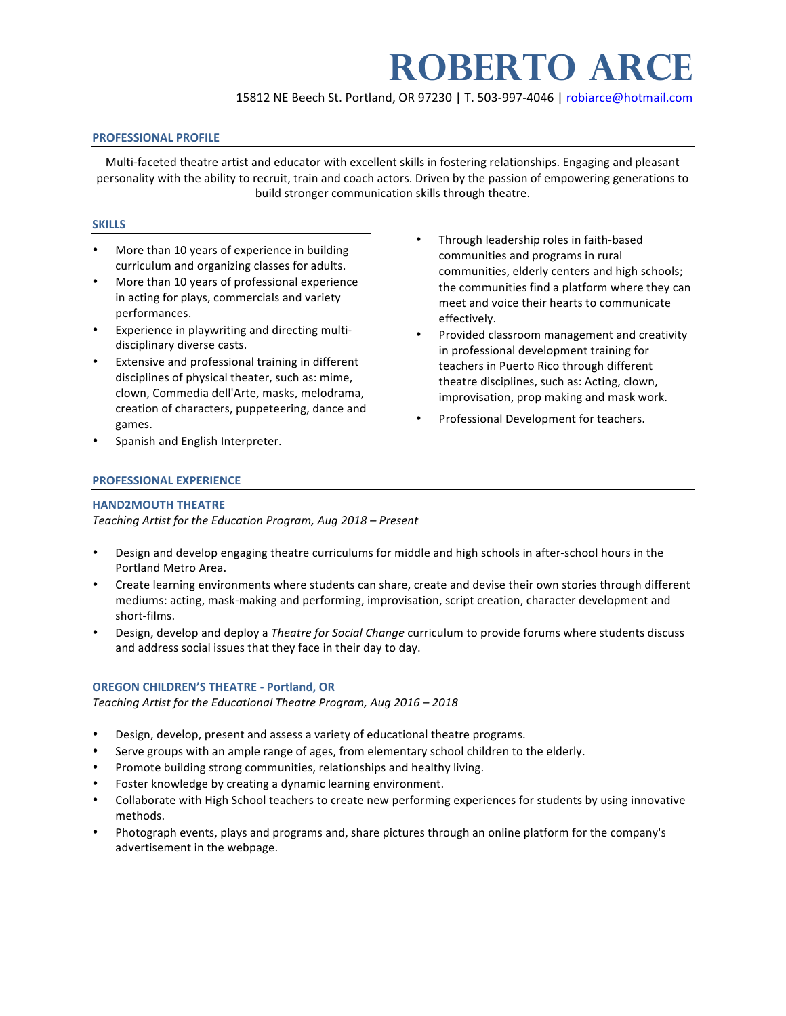# **ROBerto ARCE**

15812 NE Beech St. Portland, OR 97230 | T. 503-997-4046 | robiarce@hotmail.com

## **PROFESSIONAL PROFILE**

Multi-faceted theatre artist and educator with excellent skills in fostering relationships. Engaging and pleasant personality with the ability to recruit, train and coach actors. Driven by the passion of empowering generations to build stronger communication skills through theatre.

## **SKILLS**

- More than 10 years of experience in building curriculum and organizing classes for adults.
- More than 10 years of professional experience in acting for plays, commercials and variety performances.
- Experience in playwriting and directing multidisciplinary diverse casts.
- **Extensive and professional training in different** disciplines of physical theater, such as: mime, clown, Commedia dell'Arte, masks, melodrama, creation of characters, puppeteering, dance and games.
- Spanish and English Interpreter.
- Through leadership roles in faith-based communities and programs in rural communities, elderly centers and high schools; the communities find a platform where they can meet and voice their hearts to communicate effectively.
- Provided classroom management and creativity in professional development training for teachers in Puerto Rico through different theatre disciplines, such as: Acting, clown, improvisation, prop making and mask work.
- Professional Development for teachers.

## **PROFESSIONAL EXPERIENCE**

#### **HAND2MOUTH THEATRE**

*Teaching Artist for the Education Program, Aug 2018 – Present*

- Design and develop engaging theatre curriculums for middle and high schools in after-school hours in the Portland Metro Area.
- Create learning environments where students can share, create and devise their own stories through different mediums: acting, mask-making and performing, improvisation, script creation, character development and short-films.
- Design, develop and deploy a *Theatre for Social Change* curriculum to provide forums where students discuss and address social issues that they face in their day to day.

# **OREGON CHILDREN'S THEATRE - Portland, OR**

*Teaching Artist for the Educational Theatre Program, Aug 2016 – 2018*

- Design, develop, present and assess a variety of educational theatre programs.
- Serve groups with an ample range of ages, from elementary school children to the elderly.
- Promote building strong communities, relationships and healthy living.
- Foster knowledge by creating a dynamic learning environment.
- Collaborate with High School teachers to create new performing experiences for students by using innovative methods.
- Photograph events, plays and programs and, share pictures through an online platform for the company's advertisement in the webpage.